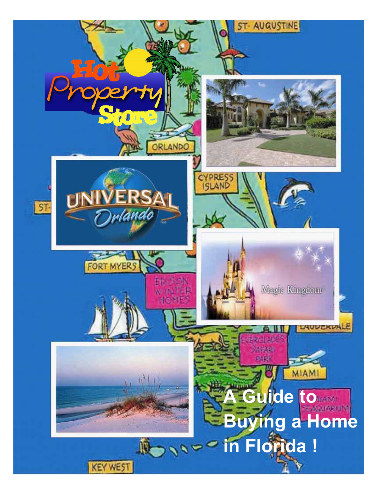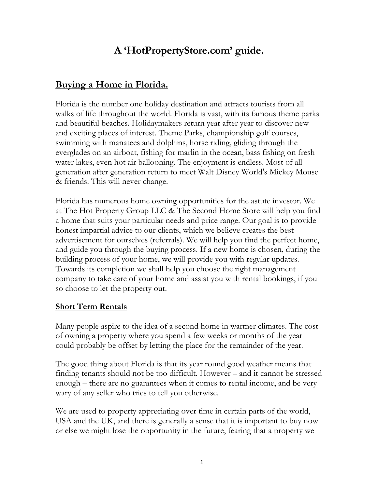# **A 'HotPropertyStore.com' guide.**

## **Buying a Home in Florida.**

Florida is the number one holiday destination and attracts tourists from all walks of life throughout the world. Florida is vast, with its famous theme parks and beautiful beaches. Holidaymakers return year after year to discover new and exciting places of interest. Theme Parks, championship golf courses, swimming with manatees and dolphins, horse riding, gliding through the everglades on an airboat, fishing for marlin in the ocean, bass fishing on fresh water lakes, even hot air ballooning. The enjoyment is endless. Most of all generation after generation return to meet Walt Disney World's Mickey Mouse & friends. This will never change.

Florida has numerous home owning opportunities for the astute investor. We at The Hot Property Group LLC & The Second Home Store will help you find a home that suits your particular needs and price range. Our goal is to provide honest impartial advice to our clients, which we believe creates the best advertisement for ourselves (referrals). We will help you find the perfect home, and guide you through the buying process. If a new home is chosen, during the building process of your home, we will provide you with regular updates. Towards its completion we shall help you choose the right management company to take care of your home and assist you with rental bookings, if you so choose to let the property out.

#### **Short Term Rentals**

Many people aspire to the idea of a second home in warmer climates. The cost of owning a property where you spend a few weeks or months of the year could probably be offset by letting the place for the remainder of the year.

The good thing about Florida is that its year round good weather means that finding tenants should not be too difficult. However – and it cannot be stressed enough – there are no guarantees when it comes to rental income, and be very wary of any seller who tries to tell you otherwise.

We are used to property appreciating over time in certain parts of the world, USA and the UK, and there is generally a sense that it is important to buy now or else we might lose the opportunity in the future, fearing that a property we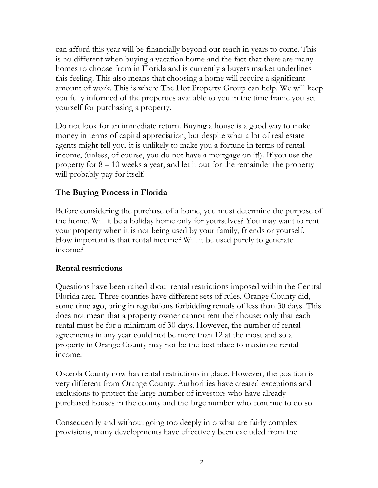can afford this year will be financially beyond our reach in years to come. This is no different when buying a vacation home and the fact that there are many homes to choose from in Florida and is currently a buyers market underlines this feeling. This also means that choosing a home will require a significant amount of work. This is where The Hot Property Group can help. We will keep you fully informed of the properties available to you in the time frame you set yourself for purchasing a property.

Do not look for an immediate return. Buying a house is a good way to make money in terms of capital appreciation, but despite what a lot of real estate agents might tell you, it is unlikely to make you a fortune in terms of rental income, (unless, of course, you do not have a mortgage on it!). If you use the property for 8 – 10 weeks a year, and let it out for the remainder the property will probably pay for itself.

#### **The Buying Process in Florida**

Before considering the purchase of a home, you must determine the purpose of the home. Will it be a holiday home only for yourselves? You may want to rent your property when it is not being used by your family, friends or yourself. How important is that rental income? Will it be used purely to generate income?

#### **Rental restrictions**

Questions have been raised about rental restrictions imposed within the Central Florida area. Three counties have different sets of rules. Orange County did, some time ago, bring in regulations forbidding rentals of less than 30 days. This does not mean that a property owner cannot rent their house; only that each rental must be for a minimum of 30 days. However, the number of rental agreements in any year could not be more than 12 at the most and so a property in Orange County may not be the best place to maximize rental income.

Osceola County now has rental restrictions in place. However, the position is very different from Orange County. Authorities have created exceptions and exclusions to protect the large number of investors who have already purchased houses in the county and the large number who continue to do so.

Consequently and without going too deeply into what are fairly complex provisions, many developments have effectively been excluded from the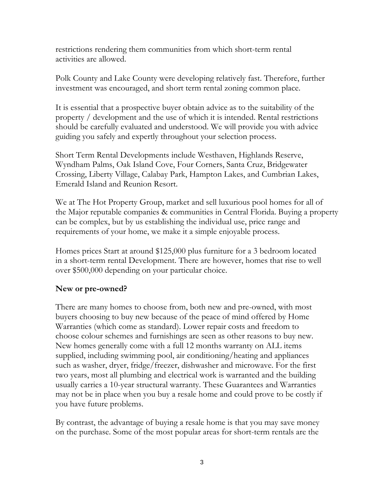restrictions rendering them communities from which short-term rental activities are allowed.

Polk County and Lake County were developing relatively fast. Therefore, further investment was encouraged, and short term rental zoning common place.

It is essential that a prospective buyer obtain advice as to the suitability of the property / development and the use of which it is intended. Rental restrictions should be carefully evaluated and understood. We will provide you with advice guiding you safely and expertly throughout your selection process.

Short Term Rental Developments include Westhaven, Highlands Reserve, Wyndham Palms, Oak Island Cove, Four Corners, Santa Cruz, Bridgewater Crossing, Liberty Village, Calabay Park, Hampton Lakes, and Cumbrian Lakes, Emerald Island and Reunion Resort.

We at The Hot Property Group, market and sell luxurious pool homes for all of the Major reputable companies & communities in Central Florida. Buying a property can be complex, but by us establishing the individual use, price range and requirements of your home, we make it a simple enjoyable process.

Homes prices Start at around \$125,000 plus furniture for a 3 bedroom located in a short-term rental Development. There are however, homes that rise to well over \$500,000 depending on your particular choice.

#### **New or pre-owned?**

There are many homes to choose from, both new and pre-owned, with most buyers choosing to buy new because of the peace of mind offered by Home Warranties (which come as standard). Lower repair costs and freedom to choose colour schemes and furnishings are seen as other reasons to buy new. New homes generally come with a full 12 months warranty on ALL items supplied, including swimming pool, air conditioning/heating and appliances such as washer, dryer, fridge/freezer, dishwasher and microwave. For the first two years, most all plumbing and electrical work is warranted and the building usually carries a 10-year structural warranty. These Guarantees and Warranties may not be in place when you buy a resale home and could prove to be costly if you have future problems.

By contrast, the advantage of buying a resale home is that you may save money on the purchase. Some of the most popular areas for short-term rentals are the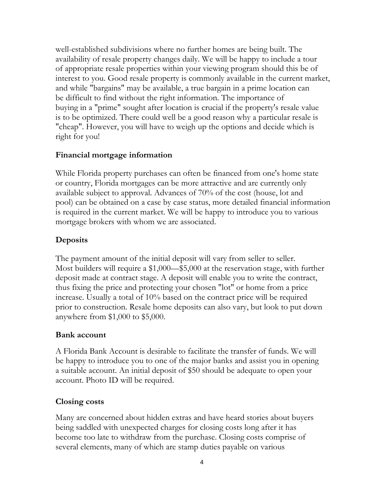well-established subdivisions where no further homes are being built. The availability of resale property changes daily. We will be happy to include a tour of appropriate resale properties within your viewing program should this be of interest to you. Good resale property is commonly available in the current market, and while "bargains" may be available, a true bargain in a prime location can be difficult to find without the right information. The importance of buying in a "prime" sought after location is crucial if the property's resale value is to be optimized. There could well be a good reason why a particular resale is "cheap". However, you will have to weigh up the options and decide which is right for you!

#### **Financial mortgage information**

While Florida property purchases can often be financed from one's home state or country, Florida mortgages can be more attractive and are currently only available subject to approval. Advances of 70% of the cost (house, lot and pool) can be obtained on a case by case status, more detailed financial information is required in the current market. We will be happy to introduce you to various mortgage brokers with whom we are associated.

### **Deposits**

The payment amount of the initial deposit will vary from seller to seller. Most builders will require a \$1,000—\$5,000 at the reservation stage, with further deposit made at contract stage. A deposit will enable you to write the contract, thus fixing the price and protecting your chosen "lot" or home from a price increase. Usually a total of 10% based on the contract price will be required prior to construction. Resale home deposits can also vary, but look to put down anywhere from \$1,000 to \$5,000.

#### **Bank account**

A Florida Bank Account is desirable to facilitate the transfer of funds. We will be happy to introduce you to one of the major banks and assist you in opening a suitable account. An initial deposit of \$50 should be adequate to open your account. Photo ID will be required.

#### **Closing costs**

Many are concerned about hidden extras and have heard stories about buyers being saddled with unexpected charges for closing costs long after it has become too late to withdraw from the purchase. Closing costs comprise of several elements, many of which are stamp duties payable on various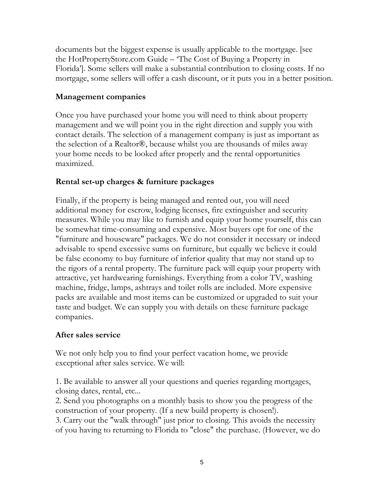documents but the biggest expense is usually applicable to the mortgage. [see the HotPropertyStore.com Guide – 'The Cost of Buying a Property in Florida']. Some sellers will make a substantial contribution to closing costs. If no mortgage, some sellers will offer a cash discount, or it puts you in a better position.

#### **Management companies**

Once you have purchased your home you will need to think about property management and we will point you in the right direction and supply you with contact details. The selection of a management company is just as important as the selection of a Realtor®, because whilst you are thousands of miles away your home needs to be looked after properly and the rental opportunities maximized.

#### **Rental set-up charges & furniture packages**

Finally, if the property is being managed and rented out, you will need additional money for escrow, lodging licenses, fire extinguisher and security measures. While you may like to furnish and equip your home yourself, this can be somewhat time-consuming and expensive. Most buyers opt for one of the "furniture and houseware" packages. We do not consider it necessary or indeed advisable to spend excessive sums on furniture, but equally we believe it could be false economy to buy furniture of inferior quality that may not stand up to the rigors of a rental property. The furniture pack will equip your property with attractive, yet hardwearing furnishings. Everything from a color TV, washing machine, fridge, lamps, ashtrays and toilet rolls are included. More expensive packs are available and most items can be customized or upgraded to suit your taste and budget. We can supply you with details on these furniture package companies.

#### **After sales service**

We not only help you to find your perfect vacation home, we provide exceptional after sales service. We will:

1. Be available to answer all your questions and queries regarding mortgages, closing dates, rental, etc...

2. Send you photographs on a monthly basis to show you the progress of the construction of your property. (If a new build property is chosen!).

3. Carry out the "walk through" just prior to closing. This avoids the necessity of you having to returning to Florida to "close" the purchase. (However, we do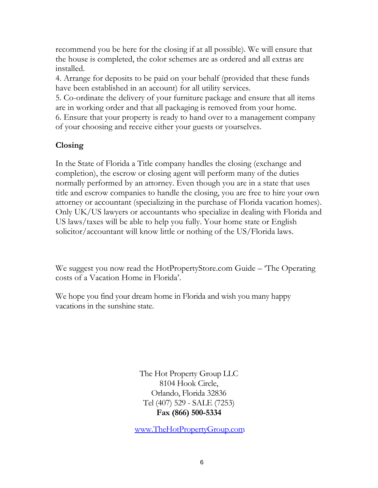recommend you be here for the closing if at all possible). We will ensure that the house is completed, the color schemes are as ordered and all extras are installed.

4. Arrange for deposits to be paid on your behalf (provided that these funds have been established in an account) for all utility services.

5. Co-ordinate the delivery of your furniture package and ensure that all items are in working order and that all packaging is removed from your home.

6. Ensure that your property is ready to hand over to a management company of your choosing and receive either your guests or yourselves.

### **Closing**

In the State of Florida a Title company handles the closing (exchange and completion), the escrow or closing agent will perform many of the duties normally performed by an attorney. Even though you are in a state that uses title and escrow companies to handle the closing, you are free to hire your own attorney or accountant (specializing in the purchase of Florida vacation homes). Only UK/US lawyers or accountants who specialize in dealing with Florida and US laws/taxes will be able to help you fully. Your home state or English solicitor/accountant will know little or nothing of the US/Florida laws.

We suggest you now read the HotPropertyStore.com Guide – The Operating costs of a Vacation Home in Florida'.

We hope you find your dream home in Florida and wish you many happy vacations in the sunshine state.

> The Hot Property Group LLC 8104 Hook Circle, Orlando, Florida 32836 Tel (407) 529 - SALE (7253) **Fax (866) 500-5334**

www.The[HotPropertyGroup](http://www.thesecondhomestore.com/).com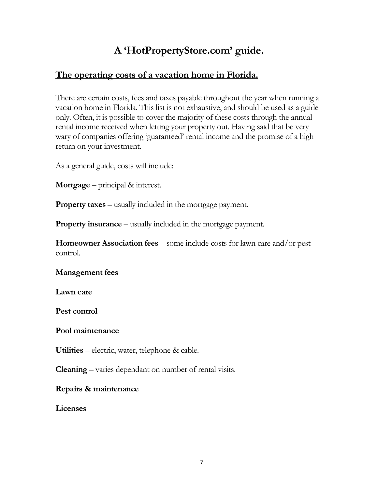## **A 'HotPropertyStore.com' guide.**

## **The operating costs of a vacation home in Florida.**

There are certain costs, fees and taxes payable throughout the year when running a vacation home in Florida. This list is not exhaustive, and should be used as a guide only. Often, it is possible to cover the majority of these costs through the annual rental income received when letting your property out. Having said that be very wary of companies offering 'guaranteed' rental income and the promise of a high return on your investment.

As a general guide, costs will include:

**Mortgage –** principal & interest.

**Property taxes** – usually included in the mortgage payment.

**Property insurance** – usually included in the mortgage payment.

**Homeowner Association fees** – some include costs for lawn care and/or pest control.

**Management fees** 

**Lawn care** 

**Pest control** 

**Pool maintenance** 

**Utilities** – electric, water, telephone & cable.

**Cleaning** – varies dependant on number of rental visits.

#### **Repairs & maintenance**

**Licenses**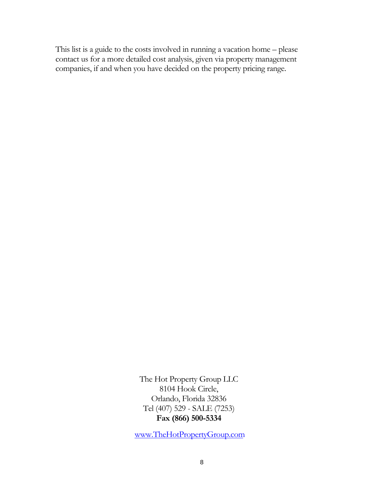This list is a guide to the costs involved in running a vacation home – please contact us for a more detailed cost analysis, given via property management companies, if and when you have decided on the property pricing range.

> The Hot Property Group LLC 8104 Hook Circle, Orlando, Florida 32836 Tel (407) 529 - SALE (7253) **Fax (866) 500-5334**

www.The[HotPropertyGroup](http://www.thesecondhomestore.com/).com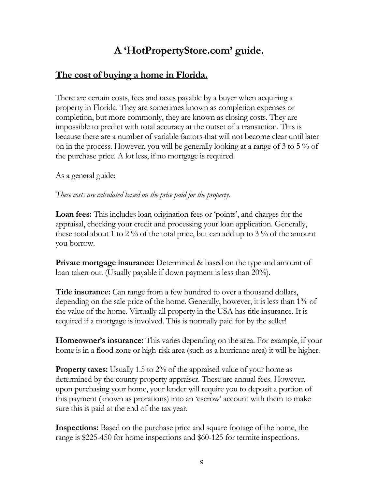# **A 'HotPropertyStore.com' guide.**

## **The cost of buying a home in Florida.**

There are certain costs, fees and taxes payable by a buyer when acquiring a property in Florida. They are sometimes known as completion expenses or completion, but more commonly, they are known as closing costs. They are impossible to predict with total accuracy at the outset of a transaction. This is because there are a number of variable factors that will not become clear until later on in the process. However, you will be generally looking at a range of 3 to 5 % of the purchase price. A lot less, if no mortgage is required.

As a general guide:

#### *These costs are calculated based on the price paid for the property.*

**Loan fees:** This includes loan origination fees or 'points', and charges for the appraisal, checking your credit and processing your loan application. Generally, these total about 1 to 2 % of the total price, but can add up to 3 % of the amount you borrow.

**Private mortgage insurance:** Determined & based on the type and amount of loan taken out. (Usually payable if down payment is less than 20%).

**Title insurance:** Can range from a few hundred to over a thousand dollars, depending on the sale price of the home. Generally, however, it is less than 1% of the value of the home. Virtually all property in the USA has title insurance. It is required if a mortgage is involved. This is normally paid for by the seller!

**Homeowner's insurance:** This varies depending on the area. For example, if your home is in a flood zone or high-risk area (such as a hurricane area) it will be higher.

**Property taxes:** Usually 1.5 to 2% of the appraised value of your home as determined by the county property appraiser. These are annual fees. However, upon purchasing your home, your lender will require you to deposit a portion of this payment (known as prorations) into an 'escrow' account with them to make sure this is paid at the end of the tax year.

**Inspections:** Based on the purchase price and square footage of the home, the range is \$225-450 for home inspections and \$60-125 for termite inspections.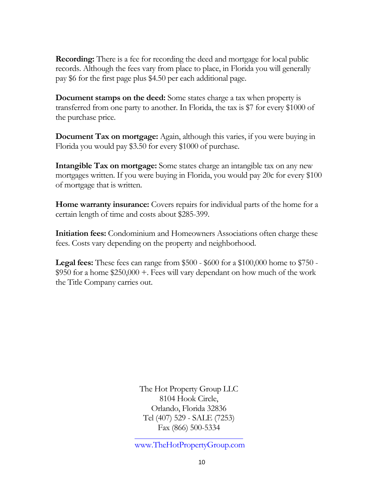**Recording:** There is a fee for recording the deed and mortgage for local public records. Although the fees vary from place to place, in Florida you will generally pay \$6 for the first page plus \$4.50 per each additional page.

**Document stamps on the deed:** Some states charge a tax when property is transferred from one party to another. In Florida, the tax is \$7 for every \$1000 of the purchase price.

**Document Tax on mortgage:** Again, although this varies, if you were buying in Florida you would pay \$3.50 for every \$1000 of purchase.

**Intangible Tax on mortgage:** Some states charge an intangible tax on any new mortgages written. If you were buying in Florida, you would pay 20c for every \$100 of mortgage that is written.

**Home warranty insurance:** Covers repairs for individual parts of the home for a certain length of time and costs about \$285-399.

**Initiation fees:** Condominium and Homeowners Associations often charge these fees. Costs vary depending on the property and neighborhood.

**Legal fees:** These fees can range from \$500 - \$600 for a \$100,000 home to \$750 - \$950 for a home \$250,000 +. Fees will vary dependant on how much of the work the Title Company carries out.

> The Hot Property Group LLC 8104 Hook Circle, Orlando, Florida 32836 Tel (407) 529 - SALE (7253) [Fax \(866\) 500-5334](http://www.thesecondhomestore.com/)

www.TheHotPropertyGroup.com